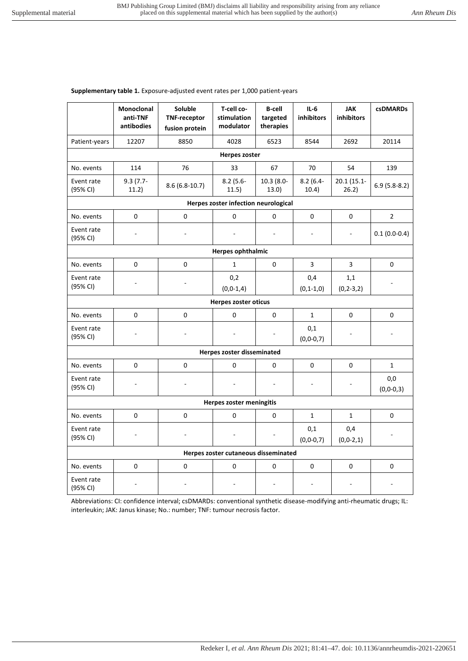## **Supplementary table 1.** Exposure-adjusted event rates per 1,000 patient-years

|                                      | <b>Monoclonal</b><br>anti-TNF<br>antibodies | Soluble<br><b>TNF-receptor</b><br>fusion protein | T-cell co-<br>stimulation<br>modulator | <b>B-cell</b><br>targeted<br>therapies | $IL-6$<br><b>inhibitors</b> | <b>JAK</b><br><b>inhibitors</b> | <b>csDMARDs</b>        |
|--------------------------------------|---------------------------------------------|--------------------------------------------------|----------------------------------------|----------------------------------------|-----------------------------|---------------------------------|------------------------|
| Patient-years                        | 12207                                       | 8850                                             | 4028                                   | 6523                                   | 8544                        | 2692                            | 20114                  |
|                                      |                                             |                                                  | <b>Herpes zoster</b>                   |                                        |                             |                                 |                        |
| No. events                           | 114                                         | 76                                               | 33                                     | 67                                     | 70                          | 54                              | 139                    |
| Event rate<br>(95% CI)               | $9.3(7.7-$<br>11.2)                         | $8.6(6.8-10.7)$                                  | $8.2(5.6 -$<br>11.5)                   | $10.3(8.0 -$<br>13.0)                  | $8.2(6.4 -$<br>10.4)        | 20.1 (15.1-<br>26.2)            | $6.9(5.8-8.2)$         |
|                                      |                                             |                                                  | Herpes zoster infection neurological   |                                        |                             |                                 |                        |
| No. events                           | 0                                           | $\mathbf 0$                                      | 0                                      | 0                                      | 0                           | 0                               | $\overline{2}$         |
| Event rate<br>(95% CI)               |                                             |                                                  |                                        | $\sim$                                 | $\sim$                      | $\sim$                          | $0.1(0.0-0.4)$         |
| <b>Herpes ophthalmic</b>             |                                             |                                                  |                                        |                                        |                             |                                 |                        |
| No. events                           | 0                                           | 0                                                | $\mathbf{1}$                           | 0                                      | 3                           | 3                               | 0                      |
| Event rate<br>(95% CI)               |                                             |                                                  | 0,2<br>$(0, 0-1, 4)$                   |                                        | 0,4<br>$(0, 1 - 1, 0)$      | 1,1<br>$(0, 2-3, 2)$            |                        |
|                                      |                                             |                                                  | <b>Herpes zoster oticus</b>            |                                        |                             |                                 |                        |
| No. events                           | 0                                           | $\mathbf 0$                                      | 0                                      | 0                                      | $\mathbf{1}$                | 0                               | 0                      |
| Event rate<br>(95% CI)               |                                             |                                                  |                                        |                                        | 0,1<br>$(0, 0 - 0, 7)$      |                                 |                        |
| Herpes zoster disseminated           |                                             |                                                  |                                        |                                        |                             |                                 |                        |
| No. events                           | 0                                           | $\pmb{0}$                                        | 0                                      | $\mathsf 0$                            | $\mathbf 0$                 | 0                               | $\mathbf{1}$           |
| Event rate<br>(95% CI)               |                                             |                                                  |                                        |                                        |                             |                                 | 0,0<br>$(0, 0 - 0, 3)$ |
| Herpes zoster meningitis             |                                             |                                                  |                                        |                                        |                             |                                 |                        |
| No. events                           | 0                                           | 0                                                | 0                                      | 0                                      | $\mathbf{1}$                | $\mathbf{1}$                    | 0                      |
| Event rate<br>(95% CI)               |                                             |                                                  |                                        |                                        | 0,1<br>$(0, 0 - 0, 7)$      | 0,4<br>$(0, 0-2, 1)$            |                        |
| Herpes zoster cutaneous disseminated |                                             |                                                  |                                        |                                        |                             |                                 |                        |
| No. events                           | 0                                           | $\mathbf 0$                                      | 0                                      | 0                                      | 0                           | 0                               | 0                      |
| Event rate<br>(95% CI)               |                                             |                                                  |                                        |                                        |                             |                                 |                        |

Abbreviations: CI: confidence interval; csDMARDs: conventional synthetic disease-modifying anti-rheumatic drugs; IL: interleukin; JAK: Janus kinase; No.: number; TNF: tumour necrosis factor.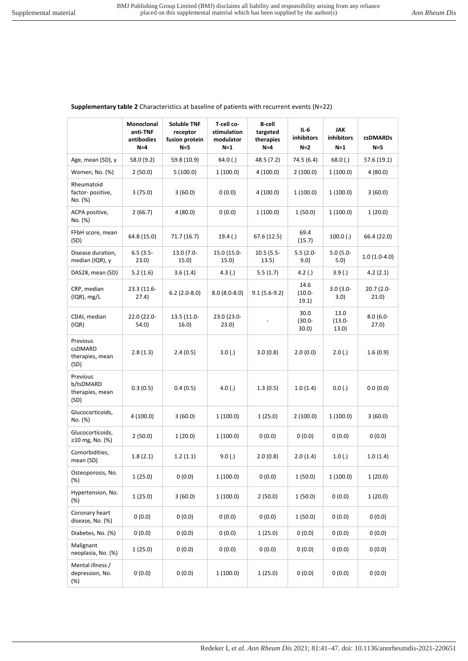|                                                  | <b>INIONOCIONAL</b><br>anti-TNF<br>antibodies<br>$N=4$ | <b>SOIUDIE LINF</b><br>receptor<br>fusion protein<br>$N = 5$ | <b>1-cell CO-</b><br>stimulation<br>modulator<br>$N=1$ | в-сен<br>targeted<br>therapies<br>$N=4$ | $IL-6$<br>inhibitors<br>$N=2$ | JAK<br>inhibitors<br>$N=1$ | <b>csDMARDs</b><br>$N=5$ |
|--------------------------------------------------|--------------------------------------------------------|--------------------------------------------------------------|--------------------------------------------------------|-----------------------------------------|-------------------------------|----------------------------|--------------------------|
| Age, mean (SD), y                                | 58.0 (9.2)                                             | 59.8 (10.9)                                                  | 64.0(.)                                                | 48.5 (7.2)                              | 74.5 (6.4)                    | 68.0(.)                    | 57.6 (19.1)              |
| Women, No. (%)                                   | 2 (50.0)                                               | 5(100.0)                                                     | 1(100.0)                                               | 4(100.0)                                | 2 (100.0)                     | 1(100.0)                   | 4(80.0)                  |
| Rheumatoid<br>factor-positive,<br>No. (%)        | 3(75.0)                                                | 3(60.0)                                                      | 0(0.0)                                                 | 4(100.0)                                | 1(100.0)                      | 1(100.0)                   | 3(60.0)                  |
| ACPA positive,<br>No. (%)                        | 2(66.7)                                                | 4(80.0)                                                      | 0(0.0)                                                 | 1(100.0)                                | 1(50.0)                       | 1(100.0)                   | 1(20.0)                  |
| FFbH score, mean<br>(SD)                         | 64.8 (15.0)                                            | 71.7 (16.7)                                                  | 19.4(.)                                                | 67.6 (12.5)                             | 69.4<br>(15.7)                | 100.0(.)                   | 66.4 (22.0)              |
| Disease duration,<br>median (IQR), y             | $6.5(3.5 -$<br>23.0)                                   | 13.0 (7.0-<br>15.0)                                          | 15.0 (15.0-<br>15.0)                                   | $10.5(5.5 -$<br>13.5)                   | $5.5(2.0 -$<br>9.0)           | $5.0(5.0 -$<br>5.0)        | $1.0(1.0-4.0)$           |
| DAS28, mean (SD)                                 | 5.2(1.6)                                               | 3.6(1.4)                                                     | 4.3(.)                                                 | 5.5(1.7)                                | 4.2(.)                        | 3.9(.)                     | 4.2(2.1)                 |
| CRP, median<br>$(IQR)$ , mg/L                    | 23.3 (11.6-<br>(27.4)                                  | $6.2(2.0-8.0)$                                               | $8.0(8.0-8.0)$                                         | $9.1(5.6-9.2)$                          | 14.6<br>$(10.0 -$<br>19.1)    | $3.0(3.0 -$<br>3.0)        | 20.7 (2.0-<br>21.0)      |
| CDAI, median<br>(IQR)                            | 22.0 (22.0-<br>54.0)                                   | 13.5 (11.0-<br>16.0)                                         | 23.0 (23.0-<br>23.0)                                   |                                         | 30.0<br>$(30.0 -$<br>30.0)    | 13.0<br>$(13.0 -$<br>13.0) | $8.0(6.0 -$<br>27.0)     |
| Previous<br>csDMARD<br>therapies, mean<br>(SD)   | 2.8(1.3)                                               | 2.4(0.5)                                                     | 3.0(.)                                                 | 3.0(0.8)                                | 2.0(0.0)                      | 2.0(.)                     | 1.6(0.9)                 |
| Previous<br>b/tsDMARD<br>therapies, mean<br>(SD) | 0.3(0.5)                                               | 0.4(0.5)                                                     | 4.0(.)                                                 | 1.3(0.5)                                | 1.0(1.4)                      | 0.0(.)                     | 0.0(0.0)                 |
| Glucocorticoids,<br>No. (%)                      | 4(100.0)                                               | 3(60.0)                                                      | 1(100.0)                                               | 1(25.0)                                 | 2(100.0)                      | 1(100.0)                   | 3(60.0)                  |
| Glucocorticoids,<br>≥10 mg, No. (%)              | 2(50.0)                                                | 1(20.0)                                                      | 1(100.0)                                               | 0(0.0)                                  | 0(0.0)                        | 0(0.0)                     | 0(0.0)                   |
| Comorbidities,<br>mean (SD)                      | 1.8(2.1)                                               | 1.2(1.1)                                                     | 9.0(.)                                                 | 2.0(0.8)                                | 2.0(1.4)                      | 1.0(.)                     | 1.0(1.4)                 |
| Osteoporosis, No.<br>(%)                         | 1(25.0)                                                | 0(0.0)                                                       | 1(100.0)                                               | 0(0.0)                                  | 1(50.0)                       | 1(100.0)                   | 1(20.0)                  |
| Hypertension, No.<br>(%)                         | 1(25.0)                                                | 3(60.0)                                                      | 1(100.0)                                               | 2(50.0)                                 | 1(50.0)                       | 0(0.0)                     | 1(20.0)                  |
| Coronary heart<br>disease, No. (%)               | 0(0.0)                                                 | 0(0.0)                                                       | 0(0.0)                                                 | 0(0.0)                                  | 1(50.0)                       | 0(0.0)                     | 0(0.0)                   |
| Diabetes, No. (%)                                | 0(0.0)                                                 | 0(0.0)                                                       | 0(0.0)                                                 | 1(25.0)                                 | 0(0.0)                        | 0(0.0)                     | 0(0.0)                   |
| Malignant<br>neoplasia, No. (%)                  | 1(25.0)                                                | 0(0.0)                                                       | 0(0.0)                                                 | 0(0.0)                                  | 0(0.0)                        | 0(0.0)                     | 0(0.0)                   |
| Mental illness /<br>depression, No.<br>(%)       | 0(0.0)                                                 | 0(0.0)                                                       | 1(100.0)                                               | 1(25.0)                                 | 0(0.0)                        | 0(0.0)                     | 0(0.0)                   |

## **Supplementary table 2** Characteristics at baseline of patients with recurrent events (N=22)

**T-cell co-**

**B-cell** 

**Soluble TNF** 

**Monoclonal**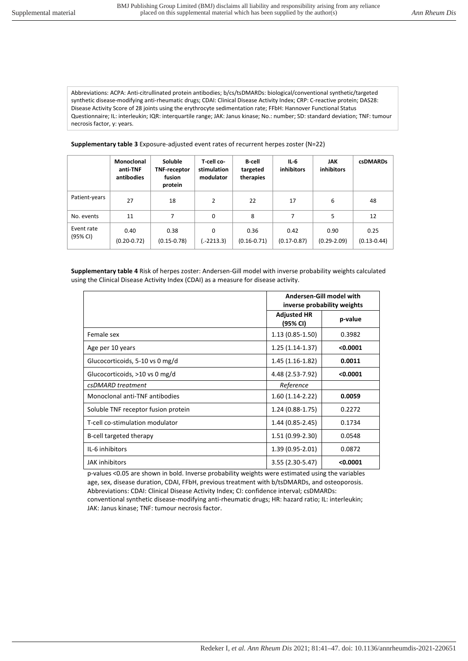Abbreviations: ACPA: Anti-citrullinated protein antibodies; b/cs/tsDMARDs: biological/conventional synthetic/targeted synthetic disease-modifying anti-rheumatic drugs; CDAI: Clinical Disease Activity Index; CRP: C-reactive protein; DAS28: Disease Activity Score of 28 joints using the erythrocyte sedimentation rate; FFbH: Hannover Functional Status Questionnaire; IL: interleukin; IQR: interquartile range; JAK: Janus kinase; No.: number; SD: standard deviation; TNF: tumour necrosis factor, y: years.

**Supplementary table 3** Exposure-adjusted event rates of recurrent herpes zoster (N=22)

|                        | Monoclonal<br>anti-TNF<br>antibodies | <b>Soluble</b><br><b>TNF-receptor</b><br>fusion<br>protein | T-cell co-<br>stimulation<br>modulator | <b>B</b> -cell<br>targeted<br>therapies | IL-6<br><b>inhibitors</b> | <b>JAK</b><br><b>inhibitors</b> | <b>csDMARDs</b>         |
|------------------------|--------------------------------------|------------------------------------------------------------|----------------------------------------|-----------------------------------------|---------------------------|---------------------------------|-------------------------|
| Patient-years          | 27                                   | 18                                                         | $\overline{2}$                         | 22                                      | 17                        | 6                               | 48                      |
| No. events             | 11                                   | 7                                                          | 0                                      | 8                                       | 7                         | 5                               | 12                      |
| Event rate<br>(95% CI) | 0.40<br>$(0.20 - 0.72)$              | 0.38<br>$(0.15 - 0.78)$                                    | 0<br>(.-2213.3)                        | 0.36<br>$(0.16 - 0.71)$                 | 0.42<br>$(0.17 - 0.87)$   | 0.90<br>$(0.29 - 2.09)$         | 0.25<br>$(0.13 - 0.44)$ |

**Supplementary table 4** Risk of herpes zoster: Andersen-Gill model with inverse probability weights calculated using the Clinical Disease Activity Index (CDAI) as a measure for disease activity.

|                                     | Andersen-Gill model with<br>inverse probability weights |          |  |
|-------------------------------------|---------------------------------------------------------|----------|--|
|                                     | <b>Adjusted HR</b><br>(95% CI)                          | p-value  |  |
| Female sex                          | $1.13(0.85-1.50)$                                       | 0.3982   |  |
| Age per 10 years                    | $1.25(1.14-1.37)$                                       | < 0.0001 |  |
| Glucocorticoids, 5-10 vs 0 mg/d     | $1.45(1.16-1.82)$                                       | 0.0011   |  |
| Glucocorticoids, >10 vs 0 mg/d      | 4.48 (2.53-7.92)                                        | < 0.0001 |  |
| csDMARD treatment                   | Reference                                               |          |  |
| Monoclonal anti-TNF antibodies      | $1.60(1.14-2.22)$                                       | 0.0059   |  |
| Soluble TNF receptor fusion protein | $1.24(0.88-1.75)$                                       | 0.2272   |  |
| T-cell co-stimulation modulator     | 1.44 (0.85-2.45)                                        | 0.1734   |  |
| B-cell targeted therapy             | 1.51 (0.99-2.30)                                        | 0.0548   |  |
| IL-6 inhibitors                     | 1.39 (0.95-2.01)                                        | 0.0872   |  |
| <b>JAK</b> inhibitors               | 3.55 (2.30-5.47)                                        | < 0.0001 |  |

p-values <0.05 are shown in bold. Inverse probability weights were estimated using the variables age, sex, disease duration, CDAI, FFbH, previous treatment with b/tsDMARDs, and osteoporosis. Abbreviations: CDAI: Clinical Disease Activity Index; CI: confidence interval; csDMARDs: conventional synthetic disease-modifying anti-rheumatic drugs; HR: hazard ratio; IL: interleukin; JAK: Janus kinase; TNF: tumour necrosis factor.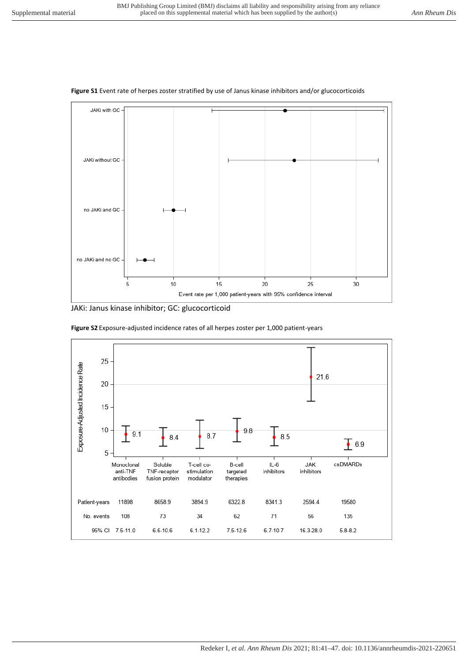



JAKi: Janus kinase inhibitor; GC: glucocorticoid



**Figure S2** Exposure-adjusted incidence rates of all herpes zoster per 1,000 patient-years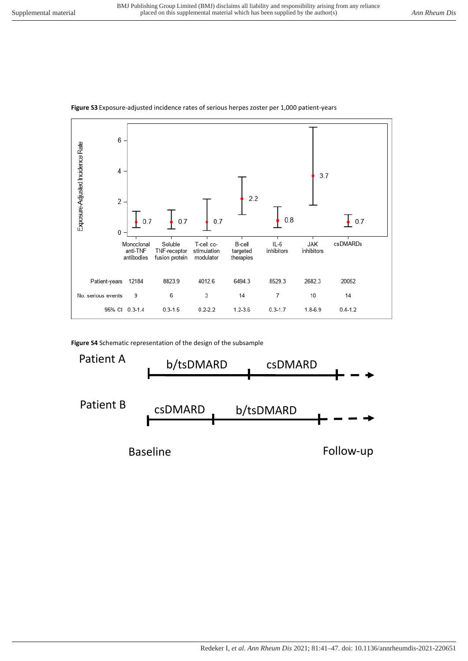

## **Figure S3** Exposure-adjusted incidence rates of serious herpes zoster per 1,000 patient-years

**Figure S4** Schematic representation of the design of the subsample